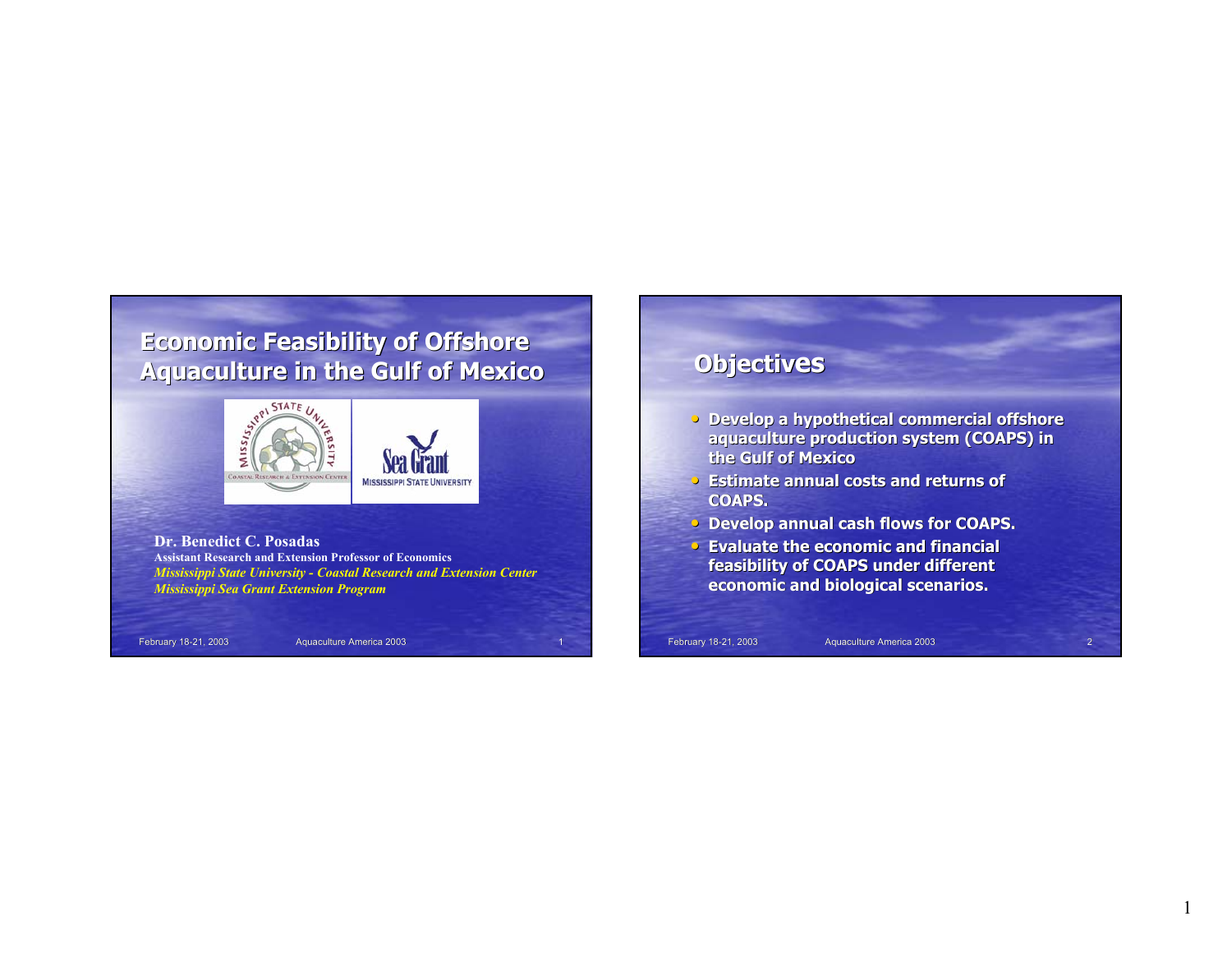# **Economic Feasibility of Offshore**



**Dr. Benedict C. PosadasAssistant Research and Extension Professor of Economics***Mississippi State University - Coastal Research and Extension Center Mississippi Sea Grant Extension Program*

February 18-21, 2003 Aquaculture America 2003

#### **Objectives**

- **Develop a hypothetical commercial offshore aquaculture production system (COAPS) in the Gulf of Mexico**
- **Estimate annual costs and returns of Estimate annual returns of COAPS.**
- **Develop annual cash flows for COAPS.**
- **Evaluate the economic and financial feasibility of COAPS under different feasibility of COAPS under different economic and biological scenarios.**

February 18-21, 2003 Aquaculture America 2003 Aquaculture America 2003 2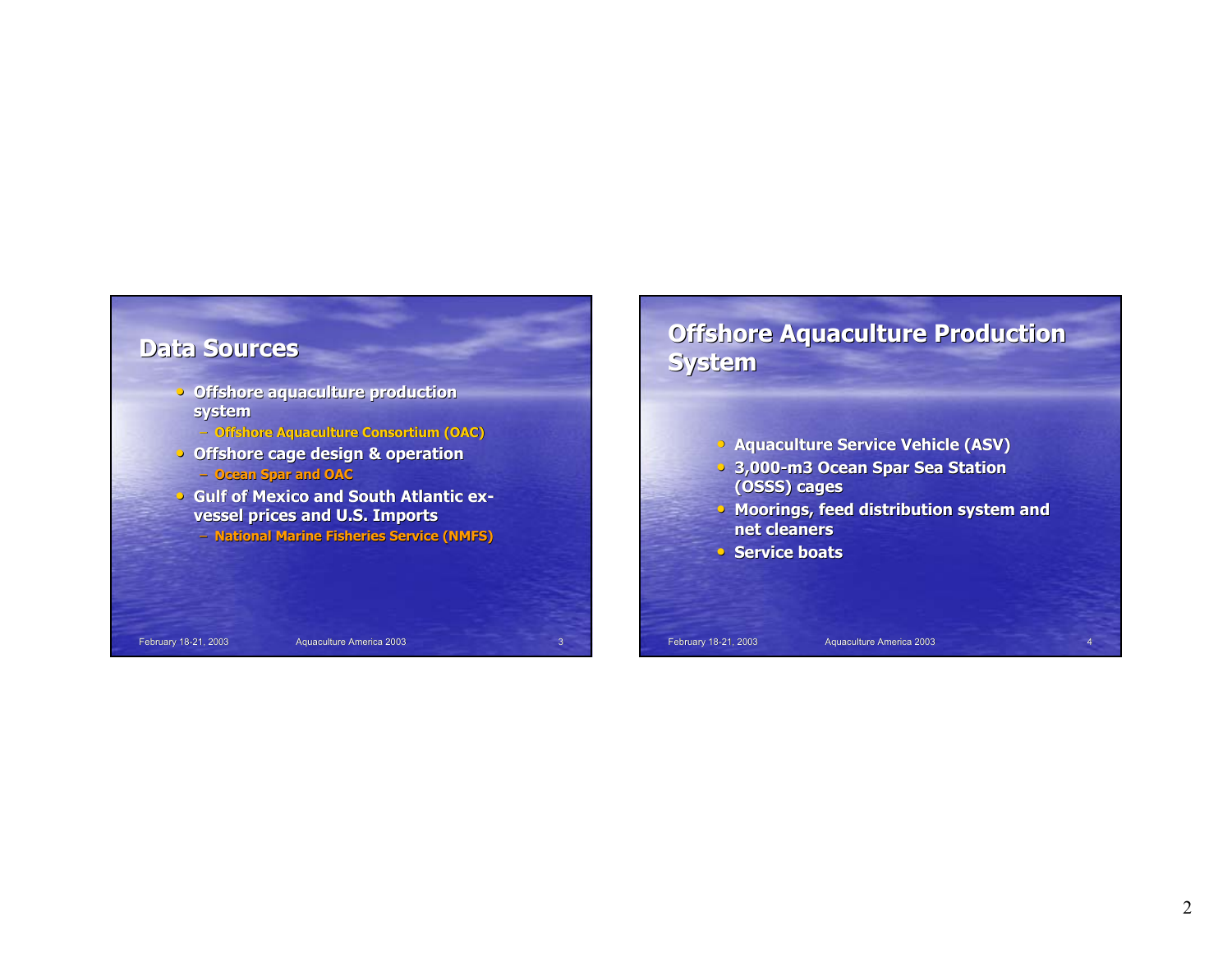

## **Offshore Aquaculture Production System**

**• Aquaculture Service Vehicle (ASV)** 

- **3,000-m3 Ocean Spar Sea Station (OSSS) cages**
- **Moorings, feed distribution system and net cleaners**
- **Service boats**

February 18-21, 2003 Aquaculture America 2003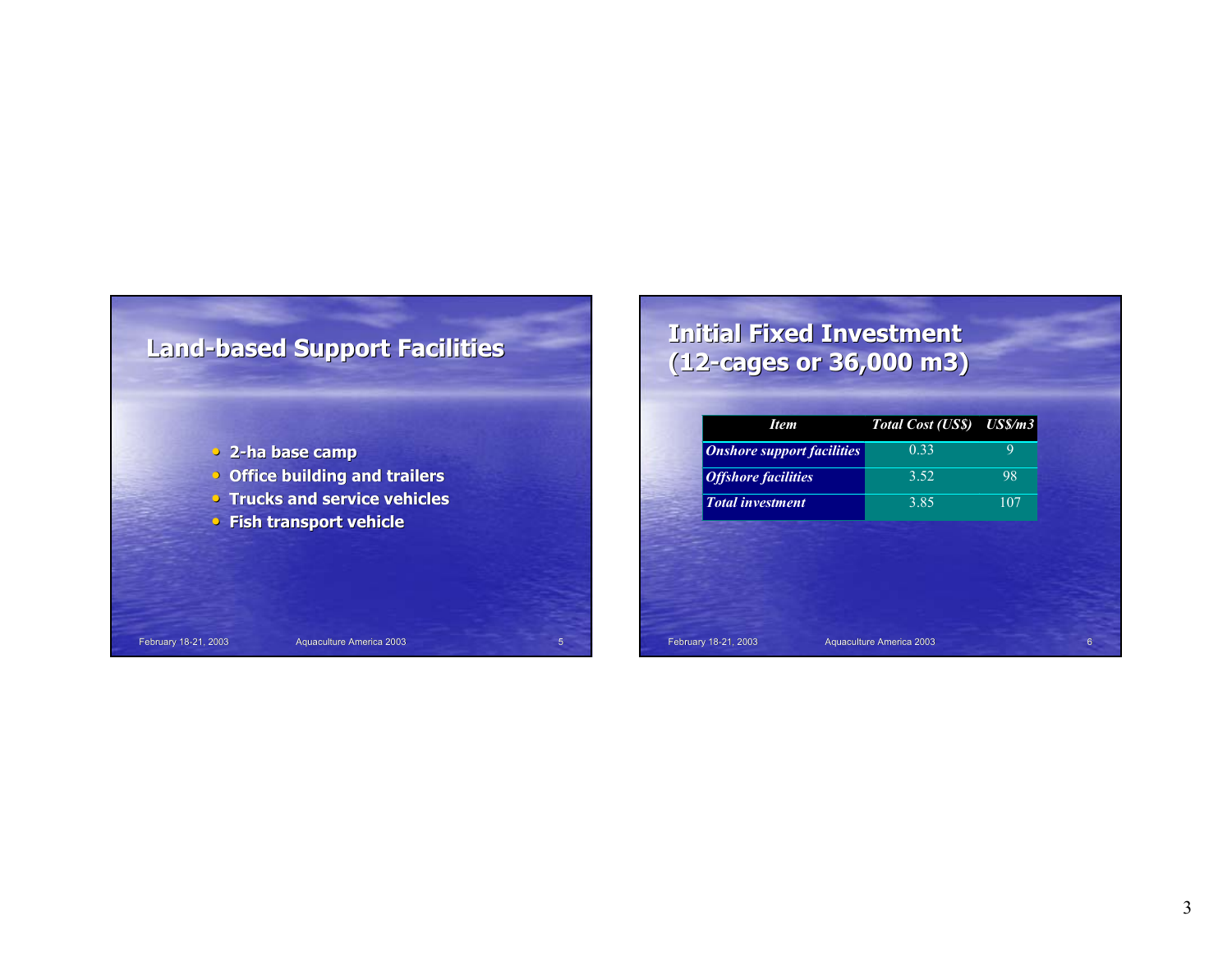![](_page_2_Figure_0.jpeg)

February 18-21, 2003 **Aquaculture America 2003** 5

### **Initial Fixed Investment (12-cages or 36,000 m3) cages or 36,000 m3)**

| <b>Item</b>                       | Total Cost (US\$) US\$/m3 |     |
|-----------------------------------|---------------------------|-----|
| <b>Onshore support facilities</b> | 0.33                      | 9   |
| <b>Offshore facilities</b>        | 3.52                      | 98  |
| <b>Total investment</b>           | 3.85                      | 107 |
|                                   |                           |     |
|                                   |                           |     |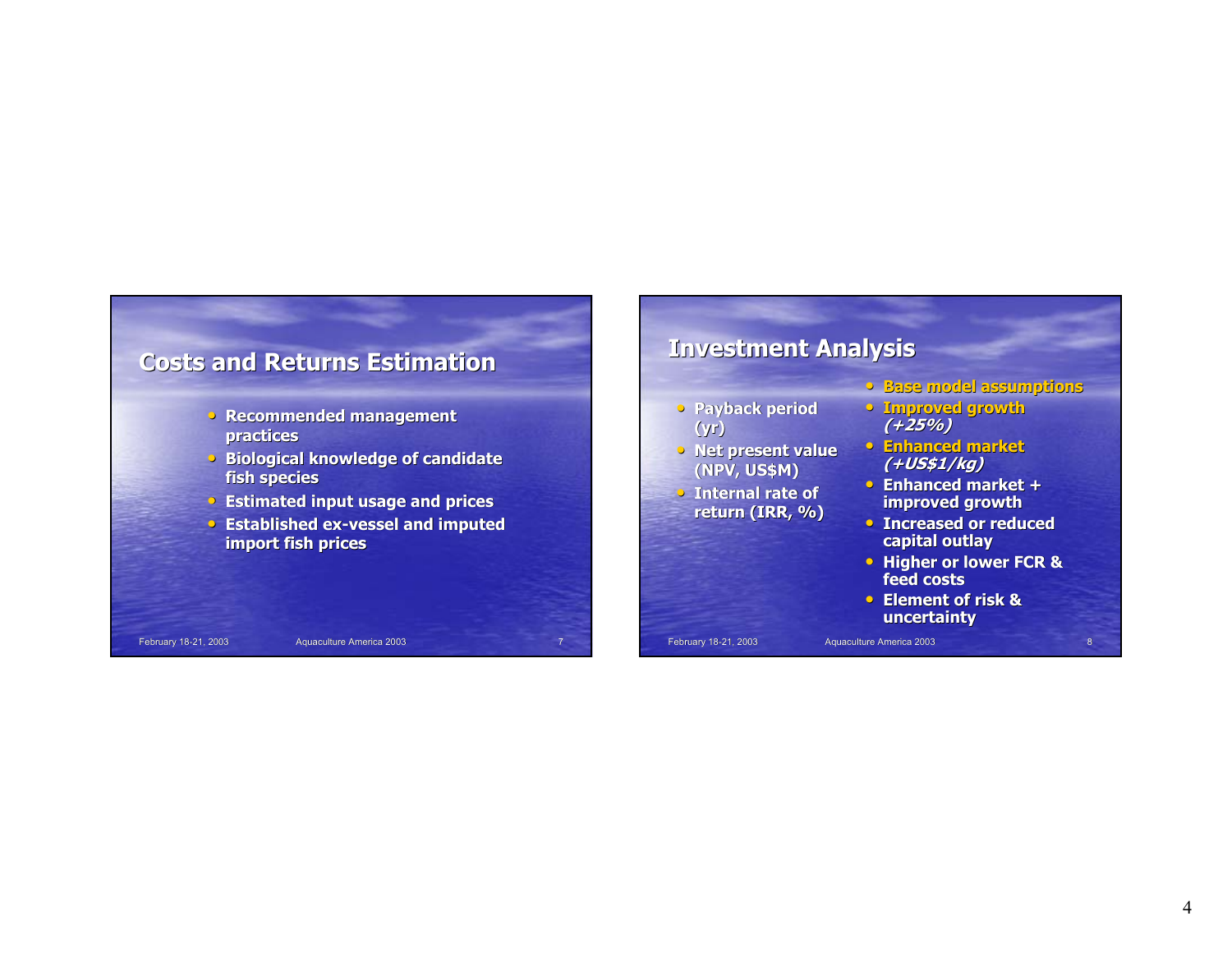![](_page_3_Figure_0.jpeg)

- **Base model assumptions**
- **Improved growth (+25%)**
- **Enhanced market Enhanced market(+US\$1/kg)**
- **Enhanced market + Enhanced market + improved growth**
- **Increased or reduced capital outlay**
- **Higher or lower FCR & feed costs**
- **Element of risk & Element risk & uncertainty**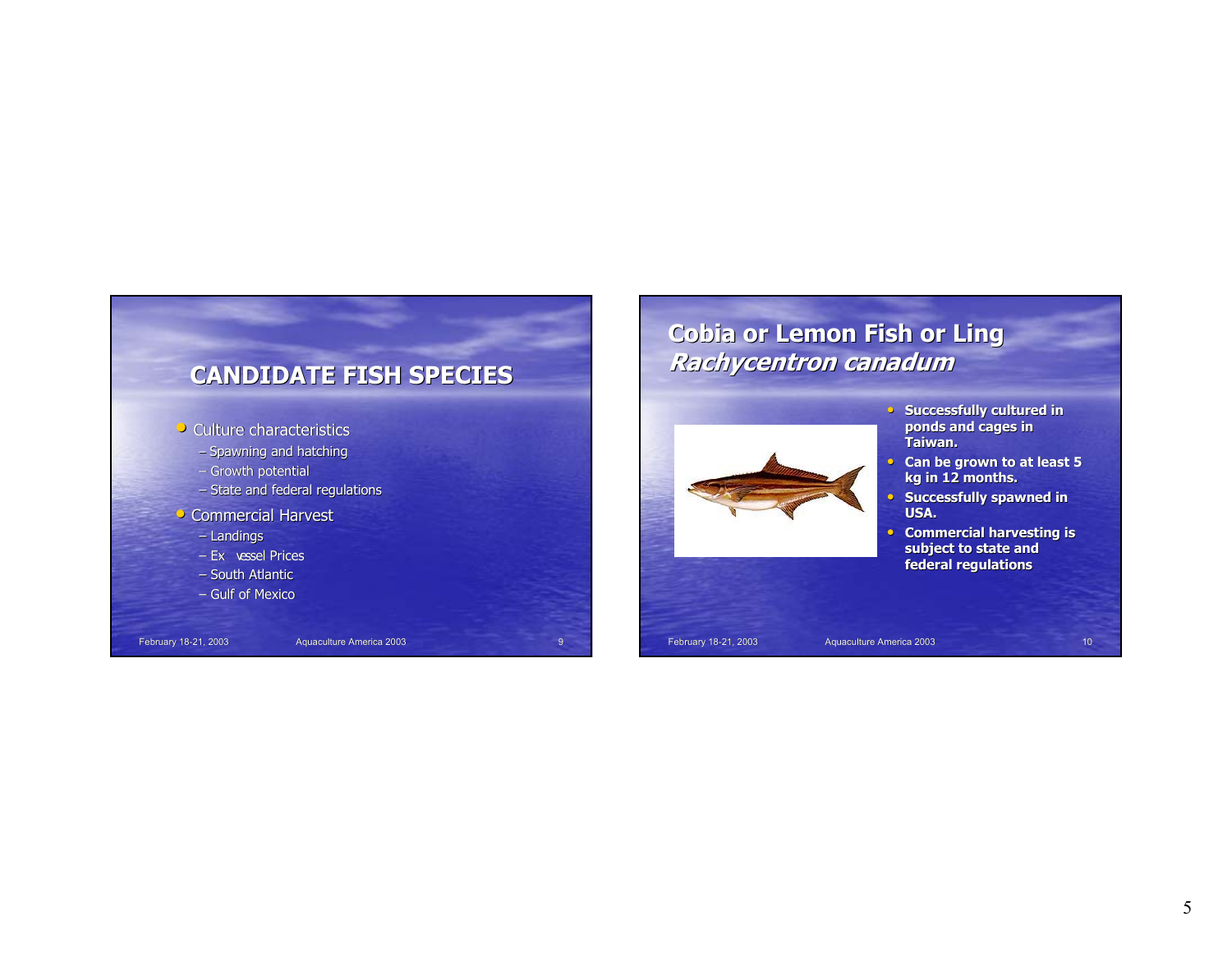![](_page_4_Figure_0.jpeg)

#### **Cobia or Lemon Fish or Ling Rachycentron Rachycentron canadum**

![](_page_4_Picture_2.jpeg)

- Successfully cultured in **ponds and cages in ponds and cages in Taiwan. Taiwan.**
- **Can be grown to at least 5 kg in 12 months. kg in 12**
- **Successfully spawned in USA.**
- **Commercial harvesting is** subject to state and **federal regulations**

February 18-21, 2003 Aquaculture America 2003 10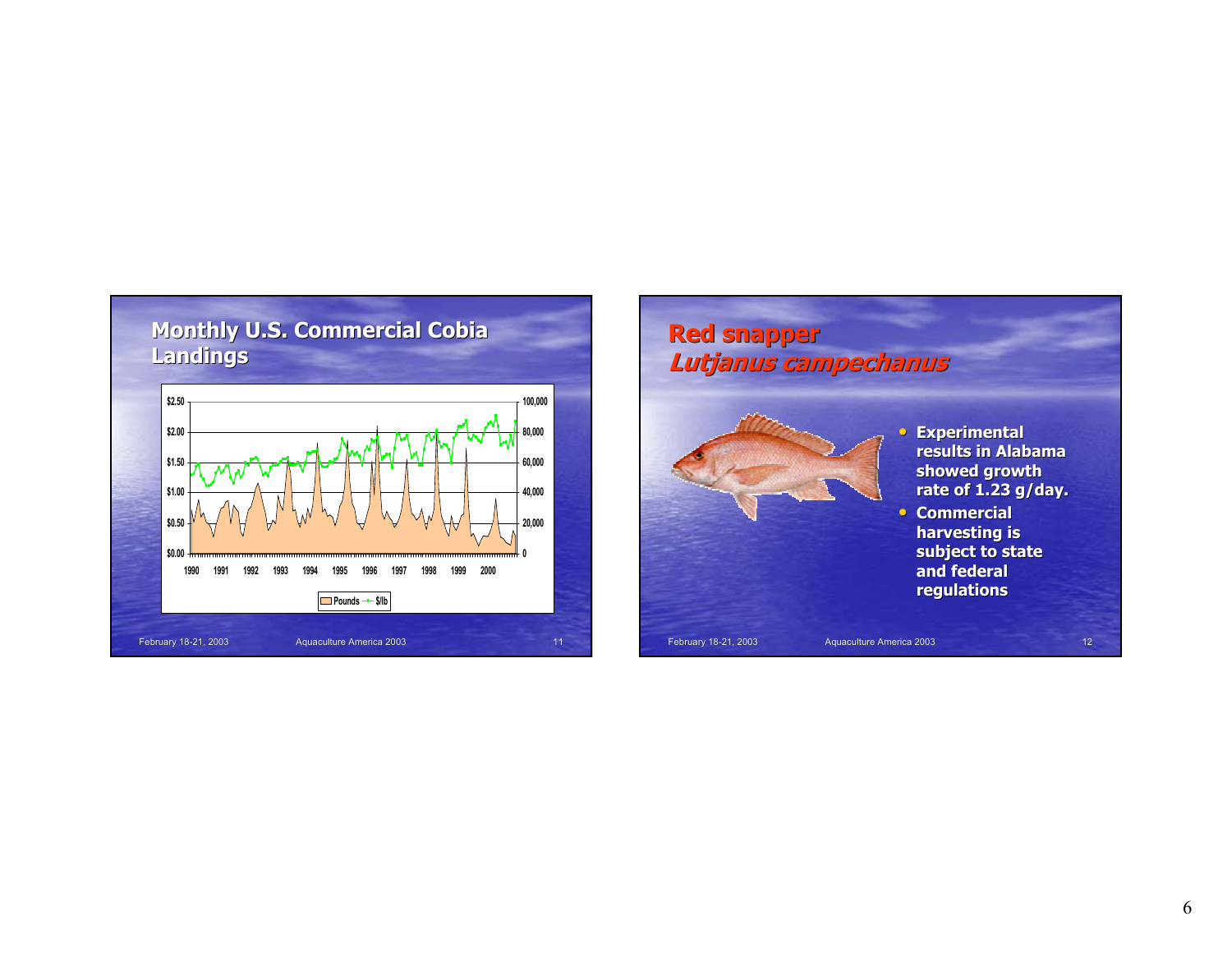![](_page_5_Figure_0.jpeg)

![](_page_5_Picture_1.jpeg)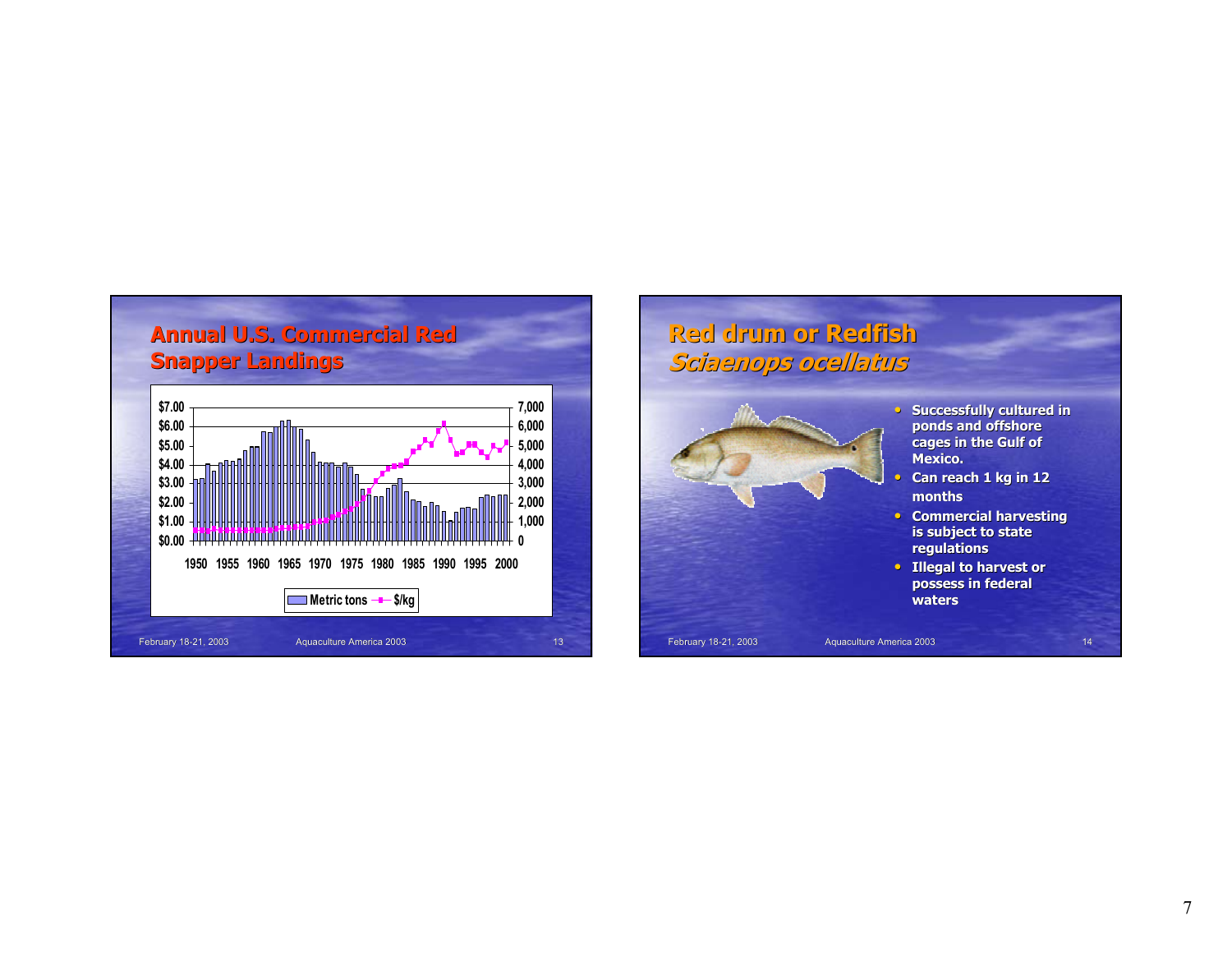![](_page_6_Figure_0.jpeg)

![](_page_6_Picture_1.jpeg)

- **Commercial harvesting**
- **Illegal to harvest or possess in federal possess in federal waters**

February 18-21, 2003 Aquaculture America 2003 14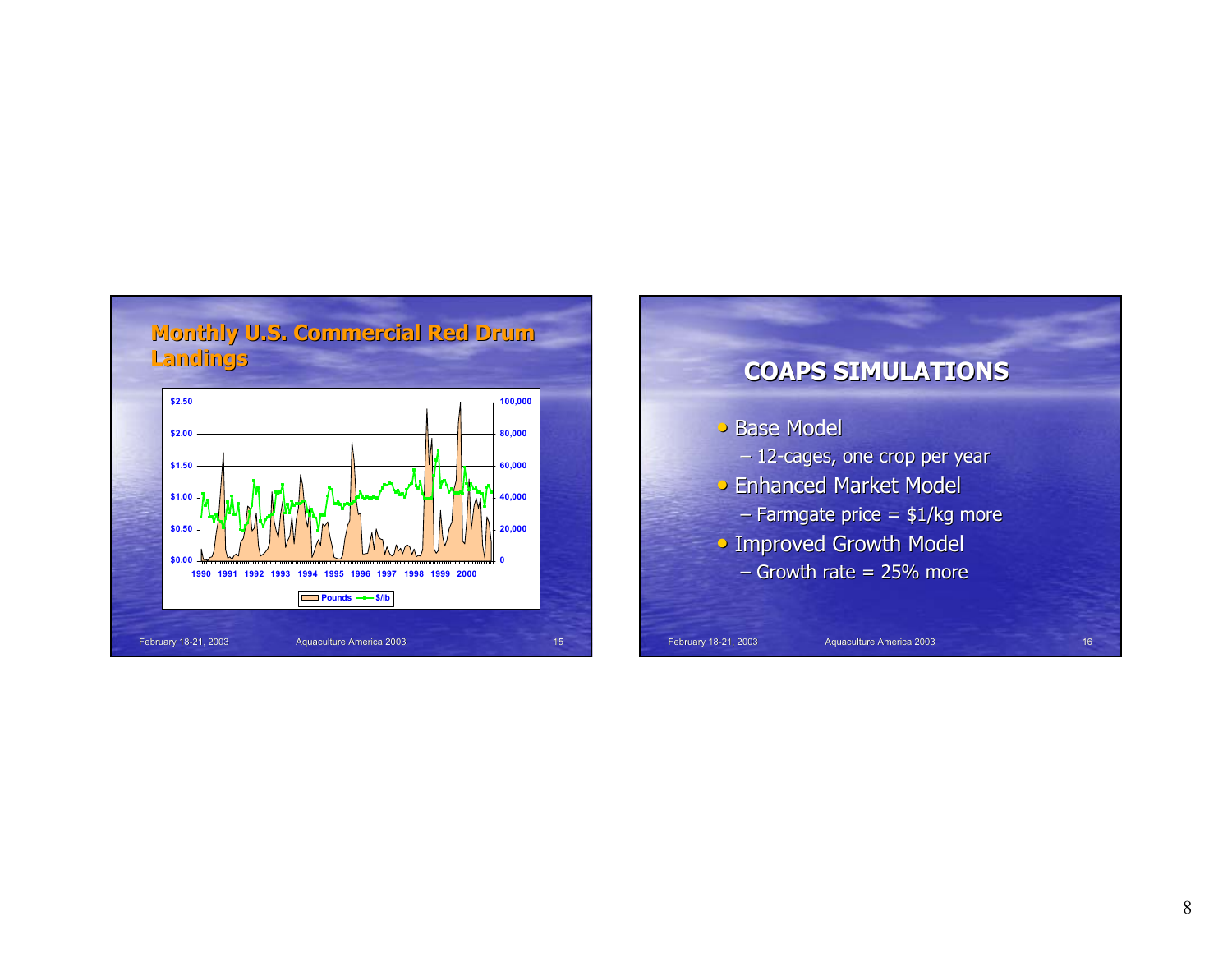![](_page_7_Figure_0.jpeg)

![](_page_7_Figure_1.jpeg)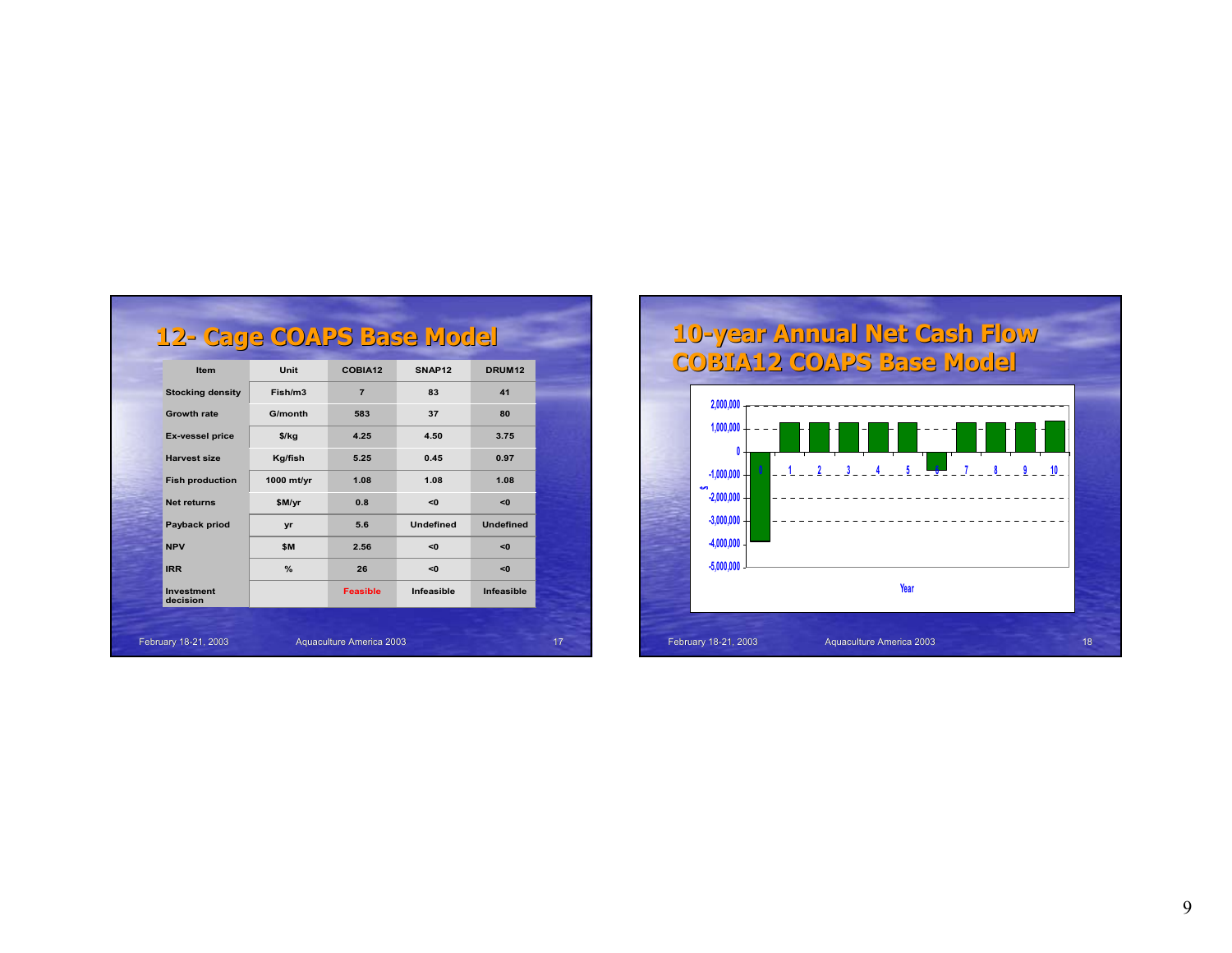| 12- Cage COAPS Base Model     |               |                 |                    |                    |  |
|-------------------------------|---------------|-----------------|--------------------|--------------------|--|
| Item                          | Unit          | COBIA12         | SNAP <sub>12</sub> | DRUM <sub>12</sub> |  |
| <b>Stocking density</b>       | Fish/m3       | $\overline{7}$  | 83                 | 41                 |  |
| <b>Growth rate</b>            | G/month       | 583             | 37                 | 80                 |  |
| <b>Ex-vessel price</b>        | $$$ /kg       | 4.25            | 4.50               | 3.75               |  |
| <b>Harvest size</b>           | Kg/fish       | 5.25            | 0.45               | 0.97               |  |
| <b>Fish production</b>        | 1000 mt/yr    | 1.08            | 1.08               | 1.08               |  |
| <b>Net returns</b>            | \$M/yr        | 0.8             | <0                 | <0                 |  |
| Payback priod                 | yr            | 5.6             | <b>Undefined</b>   | <b>Undefined</b>   |  |
| <b>NPV</b>                    | \$M           | 2.56            | <0                 | <0                 |  |
| <b>IRR</b>                    | $\frac{9}{6}$ | 26              | <0                 | < 0                |  |
| <b>Investment</b><br>decision |               | <b>Feasible</b> | Infeasible         | Infeasible         |  |

![](_page_8_Figure_1.jpeg)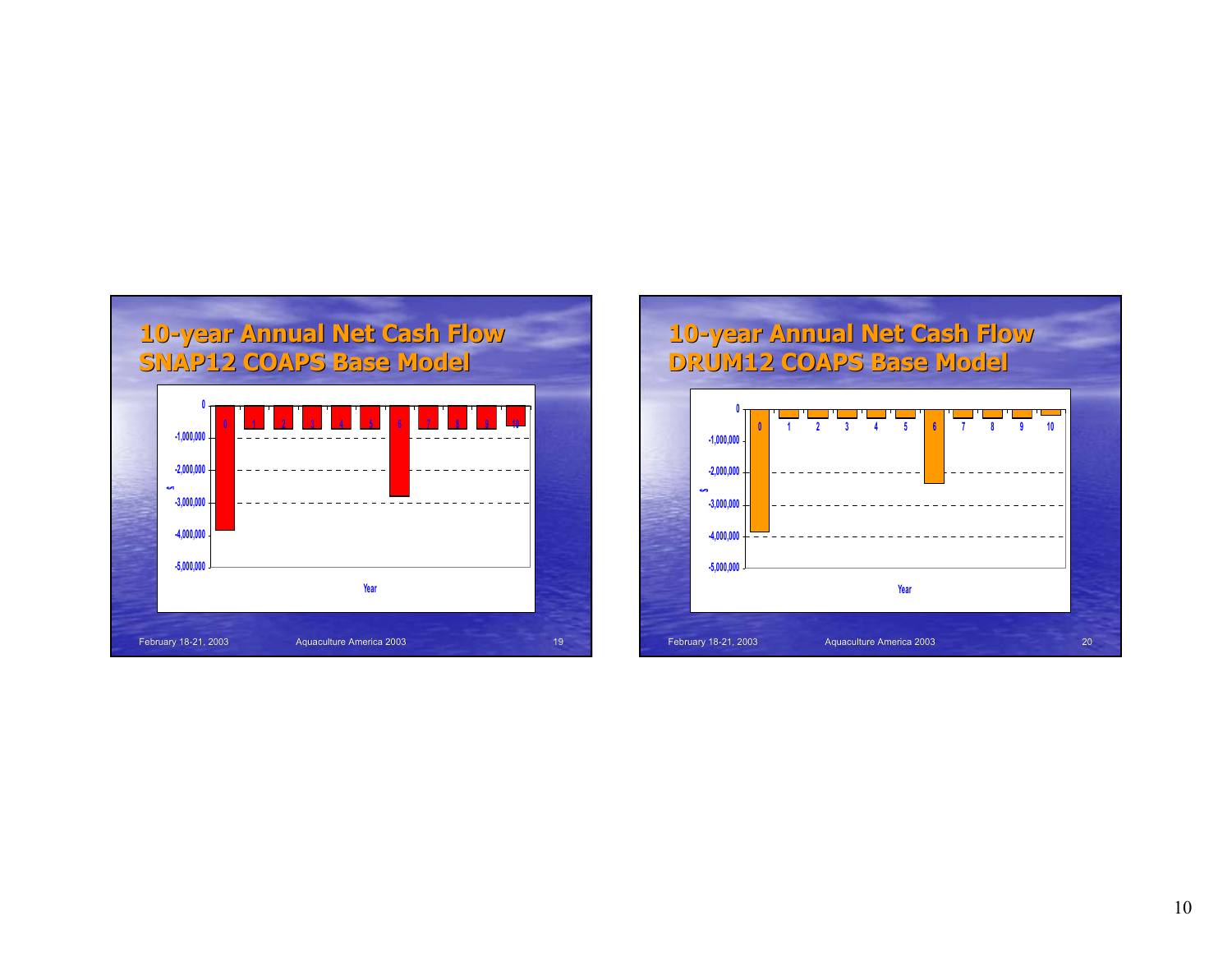![](_page_9_Figure_0.jpeg)

![](_page_9_Figure_1.jpeg)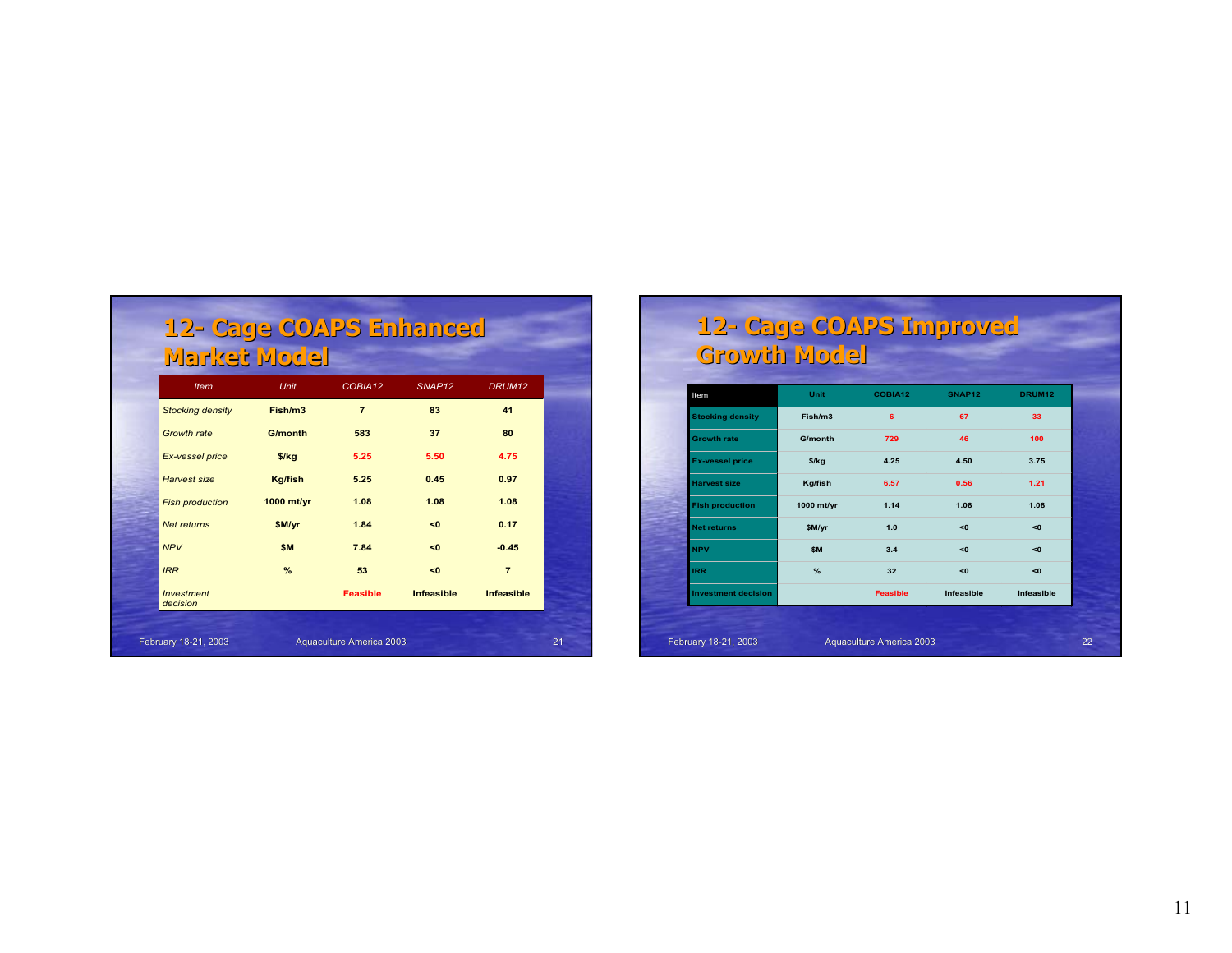| 12- Cage COAPS Enhanced<br>Market Model |             |         |                    |                    |
|-----------------------------------------|-------------|---------|--------------------|--------------------|
| <b>Item</b>                             | <b>Unit</b> | COBIA12 | SNAP <sub>12</sub> | DRUM <sub>12</sub> |
| <b>Stocking density</b>                 | Fish/m3     |         | 83                 | 41                 |
| Growth rate                             | G/month     | 583     | 37                 | 80                 |

| Growth rate                   | G/month        | 583                      | 37                | 80                |    |
|-------------------------------|----------------|--------------------------|-------------------|-------------------|----|
| Ex-vessel price               | $$$ /kg        | 5.25                     | 5.50              | 4.75              |    |
| Harvest size                  | <b>Kg/fish</b> | 5.25                     | 0.45              | 0.97              |    |
| <b>Fish production</b>        | 1000 mt/yr     | 1.08                     | 1.08              | 1.08              |    |
| <b>Net returns</b>            | \$M/yr         | 1.84                     | <0                | 0.17              |    |
| <b>NPV</b>                    | \$M            | 7.84                     | <0                | $-0.45$           |    |
| <b>IRR</b>                    | $\%$           | 53                       | <0                | $\overline{7}$    |    |
| <b>Investment</b><br>decision |                | <b>Feasible</b>          | <b>Infeasible</b> | <b>Infeasible</b> |    |
|                               |                |                          |                   |                   |    |
| February 18-21, 2003          |                | Aquaculture America 2003 |                   |                   | 21 |

#### **12- Cage COAPS Improved Cage COAPS Improved Growth Model Growth Model**

| Item                       | Unit       | COBIA12         | <b>SNAP12</b> | <b>DRUM12</b> |
|----------------------------|------------|-----------------|---------------|---------------|
| <b>Stocking density</b>    | Fish/m3    | 6               | 67            | 33            |
| <b>Growth rate</b>         | G/month    | 729             | 46            | 100           |
| <b>Ex-vessel price</b>     | $$$ /kg    | 4.25            | 4.50          | 3.75          |
| <b>Harvest size</b>        | Kg/fish    | 6.57            | 0.56          | 1.21          |
| <b>Fish production</b>     | 1000 mt/yr | 1.14            | 1.08          | 1.08          |
| <b>Net returns</b>         | \$M/yr     | 1.0             | < 0           | <0            |
| <b>NPV</b>                 | \$M        | 3.4             | < 0           | <0            |
| <b>IRR</b>                 | %          | 32              | < 0           | <0            |
| <b>Investment decision</b> |            | <b>Feasible</b> | Infeasible    | Infeasible    |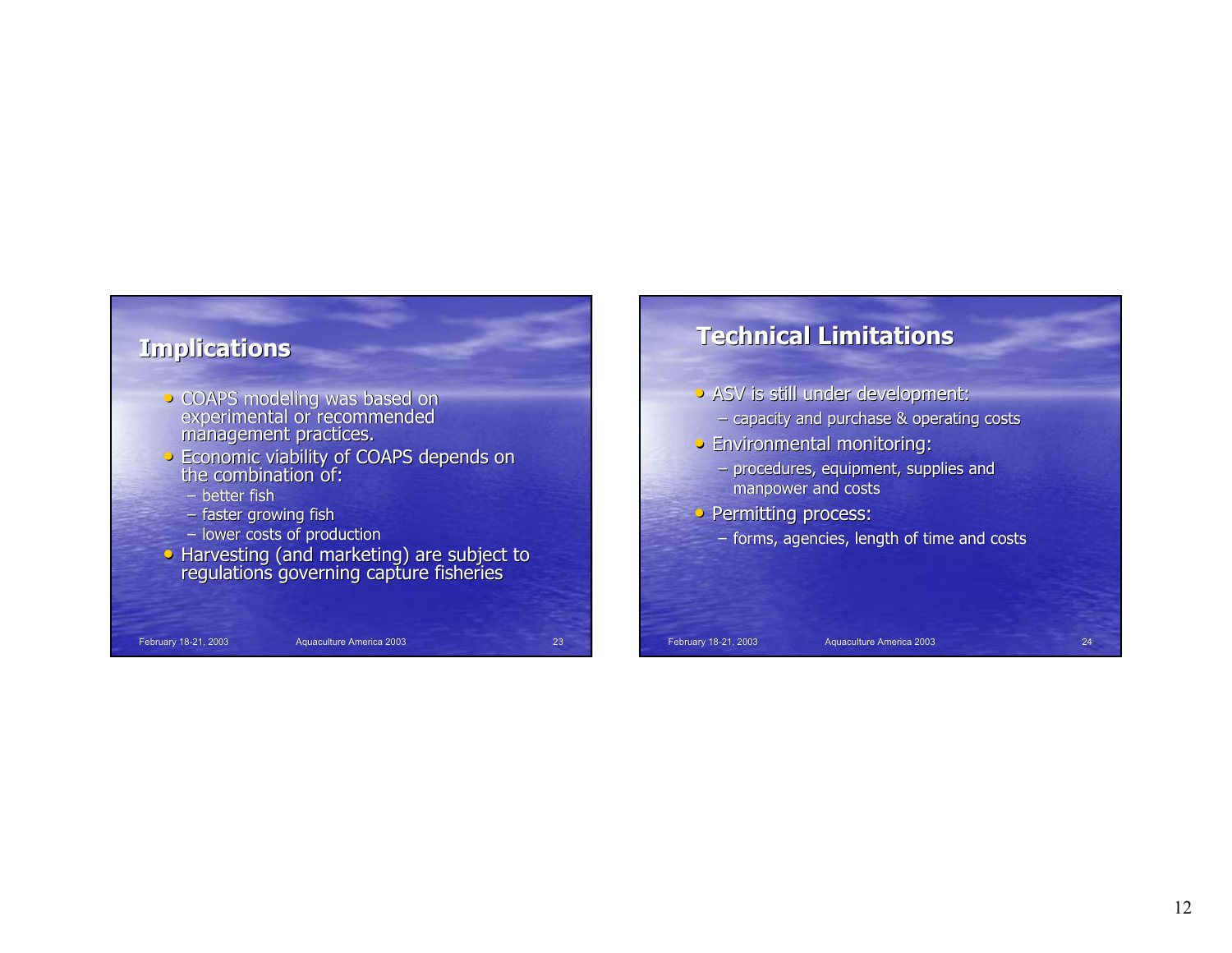![](_page_11_Figure_0.jpeg)

# **Technical Limitations Limitations**

- ASV is still under development:
	- capacity and purchase  $\&$  operating costs
- Environmental monitoring:
	- procedures, equipment, supplies and manpower and costs
- Permitting process:
	- forms, agencies, length of time and costs

February 18-21, 2003 Aquaculture America 2003 Aquaculture America 2003 24